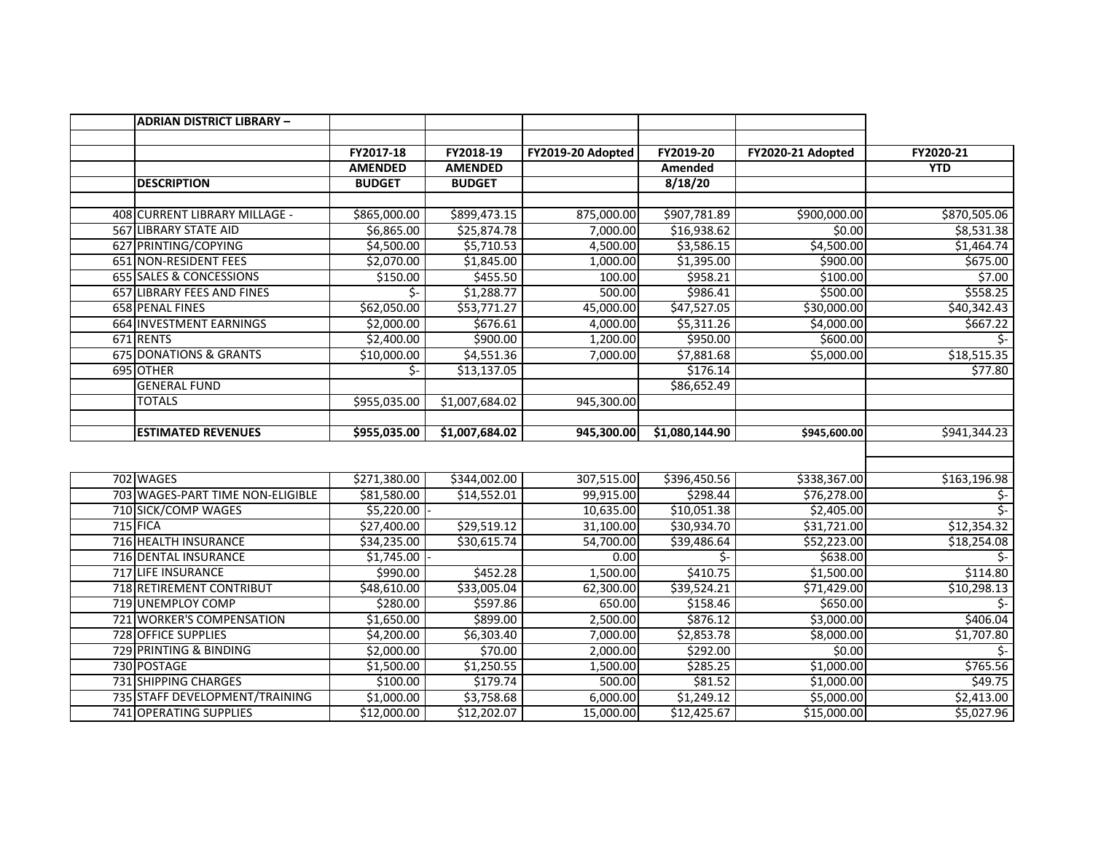| <b>ADRIAN DISTRICT LIBRARY -</b>  |                |                |                   |                |                        |               |
|-----------------------------------|----------------|----------------|-------------------|----------------|------------------------|---------------|
|                                   |                |                |                   |                |                        |               |
|                                   | FY2017-18      | FY2018-19      | FY2019-20 Adopted | FY2019-20      | FY2020-21 Adopted      | FY2020-21     |
|                                   | <b>AMENDED</b> | <b>AMENDED</b> |                   | Amended        |                        | <b>YTD</b>    |
| <b>DESCRIPTION</b>                | <b>BUDGET</b>  | <b>BUDGET</b>  |                   | 8/18/20        |                        |               |
|                                   |                |                |                   |                |                        |               |
| 408 CURRENT LIBRARY MILLAGE -     | \$865,000.00   | \$899,473.15   | 875,000.00        | \$907,781.89   | \$900,000.00           | \$870,505.06  |
| 567 LIBRARY STATE AID             | \$6,865.00     | \$25,874.78    | 7,000.00          | \$16,938.62    | \$0.00                 | \$8,531.38    |
| 627 PRINTING/COPYING              | \$4,500.00     | \$5,710.53     | 4,500.00          | \$3,586.15     | $\overline{$}4,500.00$ | \$1,464.74    |
| 651 NON-RESIDENT FEES             | \$2,070.00     | \$1,845.00     | 1,000.00          | \$1,395.00     | \$900.00               | \$675.00      |
| 655 SALES & CONCESSIONS           | \$150.00       | \$455.50       | 100.00            | \$958.21       | \$100.00               | \$7.00        |
| 657 LIBRARY FEES AND FINES        | \$-            | \$1,288.77     | 500.00            | \$986.41       | \$500.00               | \$558.25      |
| <b>658 PENAL FINES</b>            | \$62,050.00    | \$53,771.27    | 45,000.00         | \$47,527.05    | \$30,000.00            | \$40,342.43   |
| 664 INVESTMENT EARNINGS           | \$2,000.00     | \$676.61       | 4,000.00          | \$5,311.26     | \$4,000.00             | \$667.22      |
| 671 RENTS                         | \$2,400.00     | \$900.00       | 1,200.00          | \$950.00       | \$600.00               | \$-           |
| <b>675 DONATIONS &amp; GRANTS</b> | \$10,000.00    | \$4,551.36     | 7,000.00          | \$7,881.68     | \$5,000.00             | \$18,515.35   |
| 695 OTHER                         | \$-            | \$13,137.05    |                   | \$176.14       |                        | \$77.80       |
| <b>GENERAL FUND</b>               |                |                |                   | \$86,652.49    |                        |               |
| <b>TOTALS</b>                     | \$955,035.00   | \$1,007,684.02 | 945,300.00        |                |                        |               |
|                                   |                |                |                   |                |                        |               |
| <b>ESTIMATED REVENUES</b>         | \$955,035.00   | \$1,007,684.02 | 945,300.00        | \$1,080,144.90 | \$945,600.00           | \$941,344.23  |
|                                   |                |                |                   |                |                        |               |
|                                   |                |                |                   |                |                        |               |
| 702 WAGES                         | \$271,380.00   | \$344,002.00   | 307,515.00        | \$396,450.56   | \$338,367.00           | \$163,196.98  |
| 703 WAGES-PART TIME NON-ELIGIBLE  | \$81,580.00    | \$14,552.01    | 99,915.00         | \$298.44       | \$76,278.00            | \$-           |
| 710 SICK/COMP WAGES               | \$5,220.00     |                | 10,635.00         | \$10,051.38    | \$2,405.00             | \$-           |
| <b>715 FICA</b>                   | \$27,400.00    | \$29,519.12    | 31,100.00         | \$30,934.70    | \$31,721.00            | \$12,354.32   |
| 716 HEALTH INSURANCE              | \$34,235.00    | \$30,615.74    | 54,700.00         | \$39,486.64    | \$52,223.00            | \$18,254.08   |
| <b>716 DENTAL INSURANCE</b>       | \$1,745.00     |                | 0.00              | \$-            | \$638.00               | $\frac{1}{2}$ |
| 717 LIFE INSURANCE                | \$990.00       | \$452.28       | 1,500.00          | \$410.75       | \$1,500.00             | \$114.80      |
| 718 RETIREMENT CONTRIBUT          | \$48,610.00    | \$33,005.04    | 62,300.00         | \$39,524.21    | \$71,429.00            | \$10,298.13   |
| 719 UNEMPLOY COMP                 | \$280.00       | \$597.86       | 650.00            | \$158.46       | \$650.00               | \$-           |
| 721 WORKER'S COMPENSATION         | \$1,650.00     | \$899.00       | 2,500.00          | \$876.12       | \$3,000.00             | \$406.04      |
| 728 OFFICE SUPPLIES               | \$4,200.00     | \$6,303.40     | 7,000.00          | \$2,853.78     | \$8,000.00             | \$1,707.80    |
| 729 PRINTING & BINDING            | \$2,000.00     | \$70.00        | 2,000.00          | \$292.00       | \$0.00                 | \$-           |
| 730 POSTAGE                       | \$1,500.00     | \$1,250.55     | 1,500.00          | \$285.25       | \$1,000.00             | \$765.56      |
| <b>731 SHIPPING CHARGES</b>       | \$100.00       | \$179.74       | 500.00            | \$81.52        | \$1,000.00             | \$49.75       |
| 735 STAFF DEVELOPMENT/TRAINING    | \$1,000.00     | \$3,758.68     | 6,000.00          | \$1,249.12     | \$5,000.00             | \$2,413.00    |
| 741 OPERATING SUPPLIES            | \$12,000.00    | \$12,202.07    | 15,000.00         | \$12,425.67    | \$15,000.00            | \$5,027.96    |